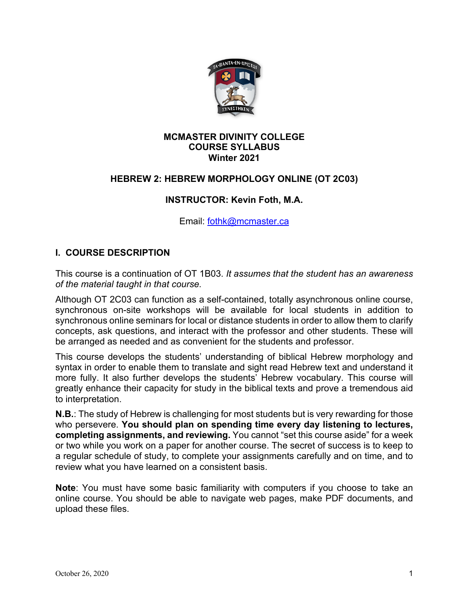

#### **MCMASTER DIVINITY COLLEGE COURSE SYLLABUS Winter 2021**

### **HEBREW 2: HEBREW MORPHOLOGY ONLINE (OT 2C03)**

### **INSTRUCTOR: Kevin Foth, M.A.**

Email: fothk@mcmaster.ca

### **I. COURSE DESCRIPTION**

This course is a continuation of OT 1B03. *It assumes that the student has an awareness of the material taught in that course.*

Although OT 2C03 can function as a self-contained, totally asynchronous online course, synchronous on-site workshops will be available for local students in addition to synchronous online seminars for local or distance students in order to allow them to clarify concepts, ask questions, and interact with the professor and other students. These will be arranged as needed and as convenient for the students and professor.

This course develops the students' understanding of biblical Hebrew morphology and syntax in order to enable them to translate and sight read Hebrew text and understand it more fully. It also further develops the students' Hebrew vocabulary. This course will greatly enhance their capacity for study in the biblical texts and prove a tremendous aid to interpretation.

**N.B.**: The study of Hebrew is challenging for most students but is very rewarding for those who persevere. **You should plan on spending time every day listening to lectures, completing assignments, and reviewing.** You cannot "set this course aside" for a week or two while you work on a paper for another course. The secret of success is to keep to a regular schedule of study, to complete your assignments carefully and on time, and to review what you have learned on a consistent basis.

**Note**: You must have some basic familiarity with computers if you choose to take an online course. You should be able to navigate web pages, make PDF documents, and upload these files.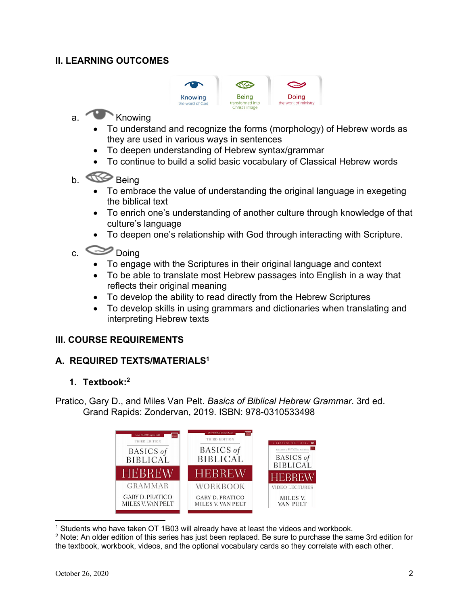## **II. LEARNING OUTCOMES**



# a. Knowing

- To understand and recognize the forms (morphology) of Hebrew words as they are used in various ways in sentences
- To deepen understanding of Hebrew syntax/grammar
- To continue to build a solid basic vocabulary of Classical Hebrew words
- b. **Being** 
	- To embrace the value of understanding the original language in exegeting the biblical text
	- To enrich one's understanding of another culture through knowledge of that culture's language
	- To deepen one's relationship with God through interacting with Scripture.
- c. Doing
	- To engage with the Scriptures in their original language and context
	- To be able to translate most Hebrew passages into English in a way that reflects their original meaning
	- To develop the ability to read directly from the Hebrew Scriptures
	- To develop skills in using grammars and dictionaries when translating and interpreting Hebrew texts

## **III. COURSE REQUIREMENTS**

## **A. REQUIRED TEXTS/MATERIALS1**

#### **1. Textbook:2**

Pratico, Gary D., and Miles Van Pelt. *Basics of Biblical Hebrew Grammar*. 3rd ed. Grand Rapids: Zondervan, 2019. ISBN: 978-0310533498



<sup>1</sup> Students who have taken OT 1B03 will already have at least the videos and workbook.

<sup>2</sup> Note: An older edition of this series has just been replaced. Be sure to purchase the same 3rd edition for the textbook, workbook, videos, and the optional vocabulary cards so they correlate with each other.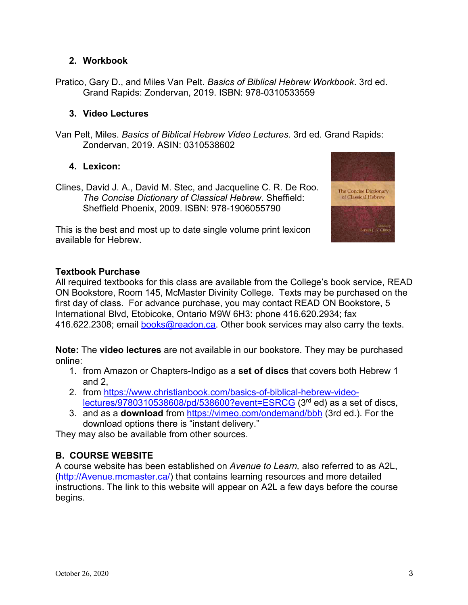### **2. Workbook**

Pratico, Gary D., and Miles Van Pelt. *Basics of Biblical Hebrew Workbook*. 3rd ed. Grand Rapids: Zondervan, 2019. ISBN: 978-0310533559

#### **3. Video Lectures**

Van Pelt, Miles. *Basics of Biblical Hebrew Video Lectures*. 3rd ed. Grand Rapids: Zondervan, 2019. ASIN: 0310538602

### **4. Lexicon:**

Clines, David J. A., David M. Stec, and Jacqueline C. R. De Roo. *The Concise Dictionary of Classical Hebrew*. Sheffield: Sheffield Phoenix, 2009. ISBN: 978-1906055790

This is the best and most up to date single volume print lexicon available for Hebrew.



## **Textbook Purchase**

All required textbooks for this class are available from the College's book service, READ ON Bookstore, Room 145, McMaster Divinity College. Texts may be purchased on the first day of class. For advance purchase, you may contact READ ON Bookstore, 5 International Blvd, Etobicoke, Ontario M9W 6H3: phone 416.620.2934; fax 416.622.2308; email books@readon.ca. Other book services may also carry the texts.

**Note:** The **video lectures** are not available in our bookstore. They may be purchased online:

- 1. from Amazon or Chapters-Indigo as a **set of discs** that covers both Hebrew 1 and 2,
- 2. from https://www.christianbook.com/basics-of-biblical-hebrew-videolectures/9780310538608/pd/538600?event=ESRCG (3rd ed) as a set of discs,
- 3. and as a **download** from https://vimeo.com/ondemand/bbh (3rd ed.). For the download options there is "instant delivery."

They may also be available from other sources.

## **B. COURSE WEBSITE**

A course website has been established on *Avenue to Learn,* also referred to as A2L, (http://Avenue.mcmaster.ca/) that contains learning resources and more detailed instructions. The link to this website will appear on A2L a few days before the course begins.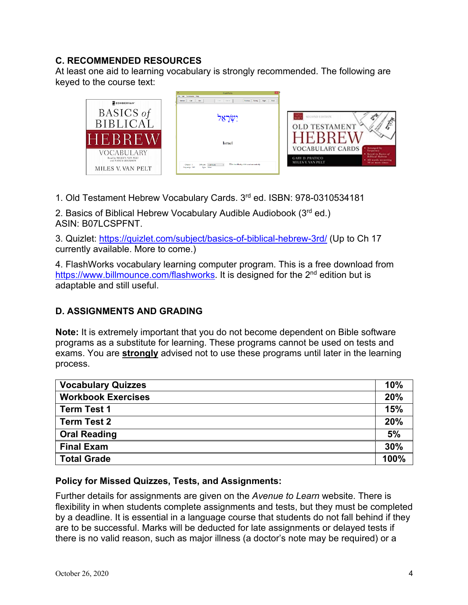## **C. RECOMMENDED RESOURCES**

At least one aid to learning vocabulary is strongly recommended. The following are keyed to the course text:



1. Old Testament Hebrew Vocabulary Cards. 3rd ed. ISBN: 978-0310534181

2. Basics of Biblical Hebrew Vocabulary Audible Audiobook (3rd ed.) ASIN: B07LCSPFNT.

3. Quizlet: https://quizlet.com/subject/basics-of-biblical-hebrew-3rd/ (Up to Ch 17 currently available. More to come.)

4. FlashWorks vocabulary learning computer program. This is a free download from https://www.billmounce.com/flashworks. It is designed for the 2<sup>nd</sup> edition but is adaptable and still useful.

## **D. ASSIGNMENTS AND GRADING**

**Note:** It is extremely important that you do not become dependent on Bible software programs as a substitute for learning. These programs cannot be used on tests and exams. You are **strongly** advised not to use these programs until later in the learning process.

| <b>Vocabulary Quizzes</b> | 10%  |
|---------------------------|------|
| <b>Workbook Exercises</b> | 20%  |
| <b>Term Test 1</b>        | 15%  |
| <b>Term Test 2</b>        | 20%  |
| <b>Oral Reading</b>       | 5%   |
| <b>Final Exam</b>         | 30%  |
| <b>Total Grade</b>        | 100% |

#### **Policy for Missed Quizzes, Tests, and Assignments:**

Further details for assignments are given on the *Avenue to Learn* website. There is flexibility in when students complete assignments and tests, but they must be completed by a deadline. It is essential in a language course that students do not fall behind if they are to be successful. Marks will be deducted for late assignments or delayed tests if there is no valid reason, such as major illness (a doctor's note may be required) or a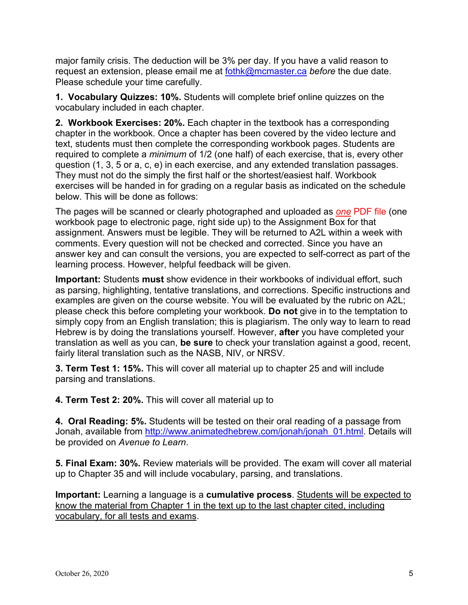major family crisis. The deduction will be 3% per day. If you have a valid reason to request an extension, please email me at fothk@mcmaster.ca *before* the due date. Please schedule your time carefully.

**1. Vocabulary Quizzes: 10%.** Students will complete brief online quizzes on the vocabulary included in each chapter.

**2. Workbook Exercises: 20%.** Each chapter in the textbook has a corresponding chapter in the workbook. Once a chapter has been covered by the video lecture and text, students must then complete the corresponding workbook pages. Students are required to complete a *minimum* of 1/2 (one half) of each exercise, that is, every other question (1, 3, 5 or a, c, e) in each exercise, and any extended translation passages. They must not do the simply the first half or the shortest/easiest half. Workbook exercises will be handed in for grading on a regular basis as indicated on the schedule below. This will be done as follows:

The pages will be scanned or clearly photographed and uploaded as *one* PDF file (one workbook page to electronic page, right side up) to the Assignment Box for that assignment. Answers must be legible. They will be returned to A2L within a week with comments. Every question will not be checked and corrected. Since you have an answer key and can consult the versions, you are expected to self-correct as part of the learning process. However, helpful feedback will be given.

**Important:** Students **must** show evidence in their workbooks of individual effort, such as parsing, highlighting, tentative translations, and corrections. Specific instructions and examples are given on the course website. You will be evaluated by the rubric on A2L; please check this before completing your workbook. **Do not** give in to the temptation to simply copy from an English translation; this is plagiarism. The only way to learn to read Hebrew is by doing the translations yourself. However, **after** you have completed your translation as well as you can, **be sure** to check your translation against a good, recent, fairly literal translation such as the NASB, NIV, or NRSV.

**3. Term Test 1: 15%.** This will cover all material up to chapter 25 and will include parsing and translations.

**4. Term Test 2: 20%.** This will cover all material up to

**4. Oral Reading: 5%.** Students will be tested on their oral reading of a passage from Jonah, available from http://www.animatedhebrew.com/jonah/jonah\_01.html. Details will be provided on *Avenue to Learn*.

**5. Final Exam: 30%.** Review materials will be provided. The exam will cover all material up to Chapter 35 and will include vocabulary, parsing, and translations.

**Important:** Learning a language is a **cumulative process**. Students will be expected to know the material from Chapter 1 in the text up to the last chapter cited, including vocabulary, for all tests and exams.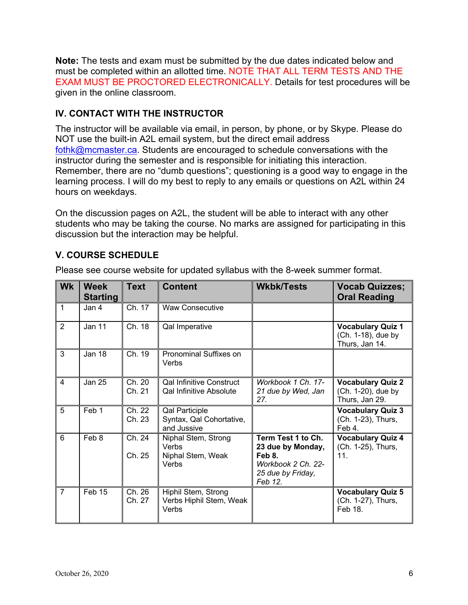**Note:** The tests and exam must be submitted by the due dates indicated below and must be completed within an allotted time. NOTE THAT ALL TERM TESTS AND THE EXAM MUST BE PROCTORED ELECTRONICALLY. Details for test procedures will be given in the online classroom.

## **IV. CONTACT WITH THE INSTRUCTOR**

The instructor will be available via email, in person, by phone, or by Skype. Please do NOT use the built-in A2L email system, but the direct email address fothk@mcmaster.ca. Students are encouraged to schedule conversations with the instructor during the semester and is responsible for initiating this interaction. Remember, there are no "dumb questions"; questioning is a good way to engage in the learning process. I will do my best to reply to any emails or questions on A2L within 24 hours on weekdays.

On the discussion pages on A2L, the student will be able to interact with any other students who may be taking the course. No marks are assigned for participating in this discussion but the interaction may be helpful.

## **V. COURSE SCHEDULE**

| <b>Wk</b>      | <b>Week</b><br><b>Starting</b> | <b>Text</b>      | <b>Content</b>                                                    | <b>Wkbk/Tests</b>                                                                                       | <b>Vocab Quizzes;</b><br><b>Oral Reading</b>                     |
|----------------|--------------------------------|------------------|-------------------------------------------------------------------|---------------------------------------------------------------------------------------------------------|------------------------------------------------------------------|
| $\overline{1}$ | Jan 4                          | Ch. 17           | <b>Waw Consecutive</b>                                            |                                                                                                         |                                                                  |
| 2              | Jan 11                         | Ch. 18           | Qal Imperative                                                    |                                                                                                         | <b>Vocabulary Quiz 1</b><br>(Ch. 1-18), due by<br>Thurs, Jan 14. |
| $\overline{3}$ | Jan 18                         | Ch. 19           | Pronominal Suffixes on<br>Verbs                                   |                                                                                                         |                                                                  |
| $\overline{4}$ | <b>Jan 25</b>                  | Ch. 20<br>Ch. 21 | <b>Qal Infinitive Construct</b><br><b>Qal Infinitive Absolute</b> | Workbook 1 Ch. 17-<br>21 due by Wed, Jan<br>27.                                                         | <b>Vocabulary Quiz 2</b><br>(Ch. 1-20), due by<br>Thurs, Jan 29. |
| 5              | Feb 1                          | Ch. 22<br>Ch. 23 | <b>Qal Participle</b><br>Syntax, Qal Cohortative,<br>and Jussive  |                                                                                                         | <b>Vocabulary Quiz 3</b><br>(Ch. 1-23), Thurs,<br>Feb 4.         |
| 6              | Feb 8                          | Ch. 24<br>Ch. 25 | Niphal Stem, Strong<br>Verbs<br>Niphal Stem, Weak<br>Verbs        | Term Test 1 to Ch.<br>23 due by Monday,<br>Feb 8.<br>Workbook 2 Ch. 22-<br>25 due by Friday,<br>Feb 12. | <b>Vocabulary Quiz 4</b><br>(Ch. 1-25), Thurs,<br>11.            |
| $\overline{7}$ | Feb 15                         | Ch. 26<br>Ch. 27 | Hiphil Stem, Strong<br>Verbs Hiphil Stem, Weak<br>Verbs           |                                                                                                         | <b>Vocabulary Quiz 5</b><br>(Ch. 1-27), Thurs,<br>Feb 18.        |

Please see course website for updated syllabus with the 8-week summer format.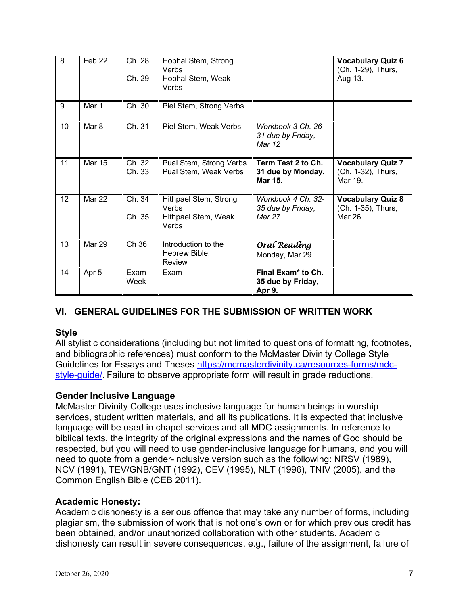| $\overline{8}$ | Feb <sub>22</sub> | Ch. 28<br>Ch. 29 | Hophal Stem, Strong<br>Verbs<br>Hophal Stem, Weak<br>Verbs            |                                                               | <b>Vocabulary Quiz 6</b><br>(Ch. 1-29), Thurs,<br>Aug 13. |
|----------------|-------------------|------------------|-----------------------------------------------------------------------|---------------------------------------------------------------|-----------------------------------------------------------|
| 9              | Mar 1             | Ch. 30           | Piel Stem, Strong Verbs                                               |                                                               |                                                           |
| 10             | Mar 8             | Ch. 31           | Piel Stem, Weak Verbs                                                 | Workbook 3 Ch. 26-<br>31 due by Friday,<br>Mar 12             |                                                           |
| 11             | <b>Mar 15</b>     | Ch. 32<br>Ch. 33 | Pual Stem, Strong Verbs<br>Pual Stem, Weak Verbs                      | Term Test 2 to Ch.<br>31 due by Monday,<br><b>Mar 15.</b>     | <b>Vocabulary Quiz 7</b><br>(Ch. 1-32), Thurs,<br>Mar 19. |
| 12             | <b>Mar 22</b>     | Ch. 34<br>Ch. 35 | Hithpael Stem, Strong<br><b>Verbs</b><br>Hithpael Stem, Weak<br>Verbs | Workbook 4 Ch. 32-<br>35 due by Friday,<br>Mar 27.            | <b>Vocabulary Quiz 8</b><br>(Ch. 1-35), Thurs,<br>Mar 26. |
| 13             | <b>Mar 29</b>     | Ch 36            | Introduction to the<br>Hebrew Bible;<br><b>Review</b>                 | Oral Reading<br>Monday, Mar 29.                               |                                                           |
| 14             | Apr 5             | Exam<br>Week     | Exam                                                                  | Final Exam <sup>*</sup> to Ch.<br>35 due by Friday,<br>Apr 9. |                                                           |

## **VI. GENERAL GUIDELINES FOR THE SUBMISSION OF WRITTEN WORK**

#### **Style**

All stylistic considerations (including but not limited to questions of formatting, footnotes, and bibliographic references) must conform to the McMaster Divinity College Style Guidelines for Essays and Theses https://mcmasterdivinity.ca/resources-forms/mdcstyle-quide/. Failure to observe appropriate form will result in grade reductions.

## **Gender Inclusive Language**

McMaster Divinity College uses inclusive language for human beings in worship services, student written materials, and all its publications. It is expected that inclusive language will be used in chapel services and all MDC assignments. In reference to biblical texts, the integrity of the original expressions and the names of God should be respected, but you will need to use gender-inclusive language for humans, and you will need to quote from a gender-inclusive version such as the following: NRSV (1989), NCV (1991), TEV/GNB/GNT (1992), CEV (1995), NLT (1996), TNIV (2005), and the Common English Bible (CEB 2011).

#### **Academic Honesty:**

Academic dishonesty is a serious offence that may take any number of forms, including plagiarism, the submission of work that is not one's own or for which previous credit has been obtained, and/or unauthorized collaboration with other students. Academic dishonesty can result in severe consequences, e.g., failure of the assignment, failure of